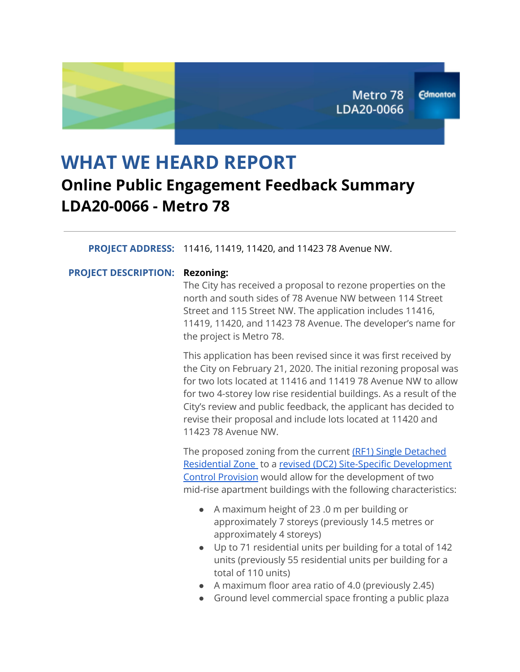# **WHAT WE HEARD REPORT Online Public Engagement Feedback Summary LDA20-0066 - Metro 78**

#### **PROJECT ADDRESS:** 11416, 11419, 11420, and 11423 78 Avenue NW.

**PROJECT DESCRIPTION: Rezoning:**

The City has received a proposal to rezone properties on the north and south sides of 78 Avenue NW between 114 Street Street and 115 Street NW. The application includes 11416, 11419, 11420, and 11423 78 Avenue. The developer's name for the project is Metro 78.

This application has been revised since it was first received by the City on February 21, 2020. The initial rezoning proposal was for two lots located at 11416 and 11419 78 Avenue NW to allow for two 4-storey low rise residential buildings. As a result of the City's review and public feedback, the applicant has decided to revise their proposal and include lots located at 11420 and 11423 78 Avenue NW.

The proposed zoning from the current (RF1) Single [Detached](https://webdocs.edmonton.ca/InfraPlan/zoningbylaw/ZoningBylaw/Part2/Residential/110_(RF1)_Single_Detached_Residential_Zone.htm) [Residential](https://webdocs.edmonton.ca/InfraPlan/zoningbylaw/ZoningBylaw/Part2/Residential/110_(RF1)_Single_Detached_Residential_Zone.htm) Zone to a revised (DC2) Site-Specific [Development](https://engaged.edmonton.ca/24759/widgets/99813/documents/63523) Control [Provision](https://engaged.edmonton.ca/24759/widgets/99813/documents/63523) would allow for the development of two mid-rise apartment buildings with the following characteristics:

- A maximum height of 23 .0 m per building or approximately 7 storeys (previously 14.5 metres or approximately 4 storeys)
- Up to 71 residential units per building for a total of 142 units (previously 55 residential units per building for a total of 110 units)
- A maximum floor area ratio of 4.0 (previously 2.45)
- Ground level commercial space fronting a public plaza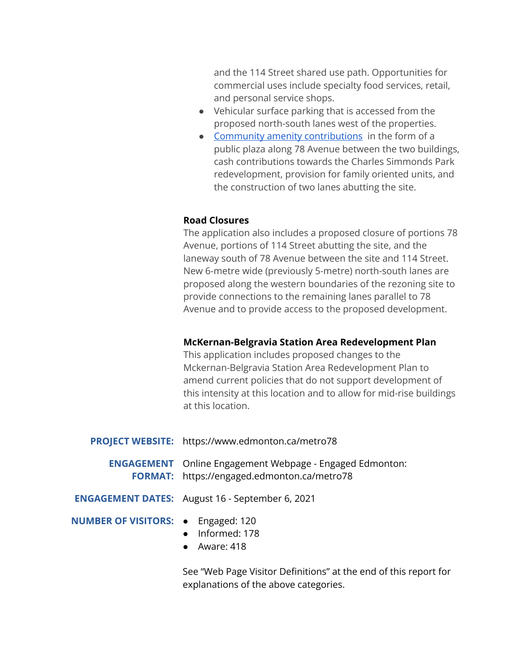and the 114 Street shared use path. Opportunities for commercial uses include specialty food services, retail, and personal service shops.

- Vehicular surface parking that is accessed from the proposed north-south lanes west of the properties.
- Community amenity [contributions](https://www.edmonton.ca/city_government/urban_planning_and_design/community-amenity-contributions) in the form of a public plaza along 78 Avenue between the two buildings, cash contributions towards the Charles Simmonds Park redevelopment, provision for family oriented units, and the construction of two lanes abutting the site.

#### **Road Closures**

The application also includes a proposed closure of portions 78 Avenue, portions of 114 Street abutting the site, and the laneway south of 78 Avenue between the site and 114 Street. New 6-metre wide (previously 5-metre) north-south lanes are proposed along the western boundaries of the rezoning site to provide connections to the remaining lanes parallel to 78 Avenue and to provide access to the proposed development.

#### **McKernan-Belgravia Station Area Redevelopment Plan**

This application includes proposed changes to the Mckernan-Belgravia Station Area Redevelopment Plan to amend current policies that do not support development of this intensity at this location and to allow for mid-rise buildings at this location.

|                                           | <b>PROJECT WEBSITE:</b> https://www.edmonton.ca/metro78                                                        |
|-------------------------------------------|----------------------------------------------------------------------------------------------------------------|
|                                           | <b>ENGAGEMENT</b> Online Engagement Webpage - Engaged Edmonton:<br>FORMAT: https://engaged.edmonton.ca/metro78 |
|                                           | <b>ENGAGEMENT DATES:</b> August 16 - September 6, 2021                                                         |
| <b>NUMBER OF VISITORS: •</b> Engaged: 120 | • Informed: 178<br>• Aware: $418$                                                                              |

See "Web Page Visitor Definitions" at the end of this report for explanations of the above categories.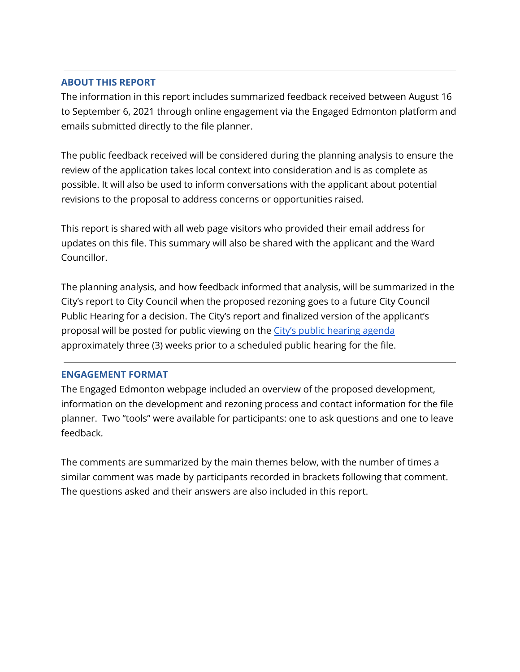#### **ABOUT THIS REPORT**

The information in this report includes summarized feedback received between August 16 to September 6, 2021 through online engagement via the Engaged Edmonton platform and emails submitted directly to the file planner.

The public feedback received will be considered during the planning analysis to ensure the review of the application takes local context into consideration and is as complete as possible. It will also be used to inform conversations with the applicant about potential revisions to the proposal to address concerns or opportunities raised.

This report is shared with all web page visitors who provided their email address for updates on this file. This summary will also be shared with the applicant and the Ward Councillor.

The planning analysis, and how feedback informed that analysis, will be summarized in the City's report to City Council when the proposed rezoning goes to a future City Council Public Hearing for a decision. The City's report and finalized version of the applicant's proposal will be posted for public viewing on the City's public [hearing](https://www.edmonton.ca/city_government/council-committee-meetings) agenda approximately three (3) weeks prior to a scheduled public hearing for the file.

#### **ENGAGEMENT FORMAT**

The Engaged Edmonton webpage included an overview of the proposed development, information on the development and rezoning process and contact information for the file planner. Two "tools" were available for participants: one to ask questions and one to leave feedback.

The comments are summarized by the main themes below, with the number of times a similar comment was made by participants recorded in brackets following that comment. The questions asked and their answers are also included in this report.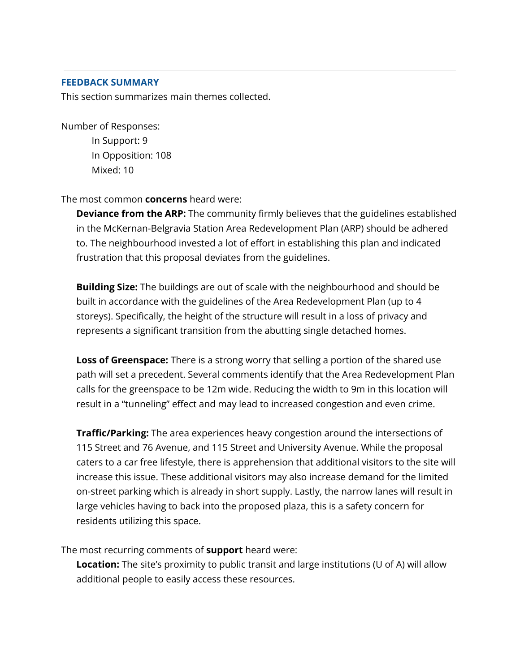#### **FEEDBACK SUMMARY**

This section summarizes main themes collected.

Number of Responses: In Support: 9 In Opposition: 108

Mixed: 10

The most common **concerns** heard were:

**Deviance from the ARP:** The community firmly believes that the guidelines established in the McKernan-Belgravia Station Area Redevelopment Plan (ARP) should be adhered to. The neighbourhood invested a lot of effort in establishing this plan and indicated frustration that this proposal deviates from the guidelines.

**Building Size:** The buildings are out of scale with the neighbourhood and should be built in accordance with the guidelines of the Area Redevelopment Plan (up to 4 storeys). Specifically, the height of the structure will result in a loss of privacy and represents a significant transition from the abutting single detached homes.

**Loss of Greenspace:** There is a strong worry that selling a portion of the shared use path will set a precedent. Several comments identify that the Area Redevelopment Plan calls for the greenspace to be 12m wide. Reducing the width to 9m in this location will result in a "tunneling" effect and may lead to increased congestion and even crime.

**Traffic/Parking:** The area experiences heavy congestion around the intersections of 115 Street and 76 Avenue, and 115 Street and University Avenue. While the proposal caters to a car free lifestyle, there is apprehension that additional visitors to the site will increase this issue. These additional visitors may also increase demand for the limited on-street parking which is already in short supply. Lastly, the narrow lanes will result in large vehicles having to back into the proposed plaza, this is a safety concern for residents utilizing this space.

The most recurring comments of **support** heard were:

**Location:** The site's proximity to public transit and large institutions (U of A) will allow additional people to easily access these resources.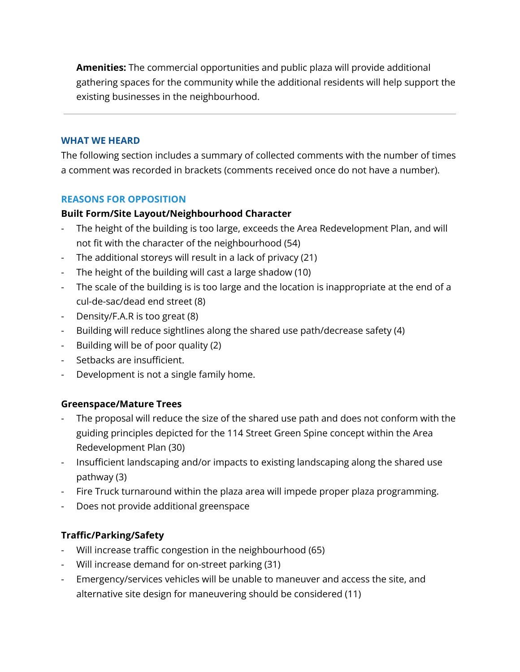**Amenities:** The commercial opportunities and public plaza will provide additional gathering spaces for the community while the additional residents will help support the existing businesses in the neighbourhood.

#### **WHAT WE HEARD**

The following section includes a summary of collected comments with the number of times a comment was recorded in brackets (comments received once do not have a number).

#### **REASONS FOR OPPOSITION**

#### **Built Form/Site Layout/Neighbourhood Character**

- The height of the building is too large, exceeds the Area Redevelopment Plan, and will not fit with the character of the neighbourhood (54)
- The additional storeys will result in a lack of privacy (21)
- The height of the building will cast a large shadow (10)
- The scale of the building is is too large and the location is inappropriate at the end of a cul-de-sac/dead end street (8)
- Density/F.A.R is too great (8)
- Building will reduce sightlines along the shared use path/decrease safety (4)
- Building will be of poor quality (2)
- Setbacks are insufficient.
- Development is not a single family home.

#### **Greenspace/Mature Trees**

- The proposal will reduce the size of the shared use path and does not conform with the guiding principles depicted for the 114 Street Green Spine concept within the Area Redevelopment Plan (30)
- Insufficient landscaping and/or impacts to existing landscaping along the shared use pathway (3)
- Fire Truck turnaround within the plaza area will impede proper plaza programming.
- Does not provide additional greenspace

### **Traffic/Parking/Safety**

- Will increase traffic congestion in the neighbourhood (65)
- Will increase demand for on-street parking (31)
- Emergency/services vehicles will be unable to maneuver and access the site, and alternative site design for maneuvering should be considered (11)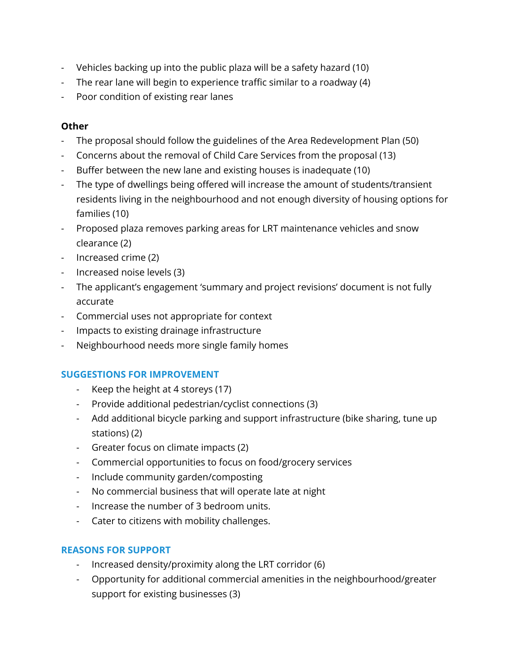- Vehicles backing up into the public plaza will be a safety hazard (10)
- The rear lane will begin to experience traffic similar to a roadway (4)
- Poor condition of existing rear lanes

#### **Other**

- The proposal should follow the guidelines of the Area Redevelopment Plan (50)
- Concerns about the removal of Child Care Services from the proposal (13)
- Buffer between the new lane and existing houses is inadequate (10)
- The type of dwellings being offered will increase the amount of students/transient residents living in the neighbourhood and not enough diversity of housing options for families (10)
- Proposed plaza removes parking areas for LRT maintenance vehicles and snow clearance (2)
- Increased crime (2)
- Increased noise levels (3)
- The applicant's engagement 'summary and project revisions' document is not fully accurate
- Commercial uses not appropriate for context
- Impacts to existing drainage infrastructure
- Neighbourhood needs more single family homes

#### **SUGGESTIONS FOR IMPROVEMENT**

- Keep the height at 4 storeys (17)
- Provide additional pedestrian/cyclist connections (3)
- Add additional bicycle parking and support infrastructure (bike sharing, tune up stations) (2)
- Greater focus on climate impacts (2)
- Commercial opportunities to focus on food/grocery services
- Include community garden/composting
- No commercial business that will operate late at night
- Increase the number of 3 bedroom units.
- Cater to citizens with mobility challenges.

#### **REASONS FOR SUPPORT**

- Increased density/proximity along the LRT corridor (6)
- Opportunity for additional commercial amenities in the neighbourhood/greater support for existing businesses (3)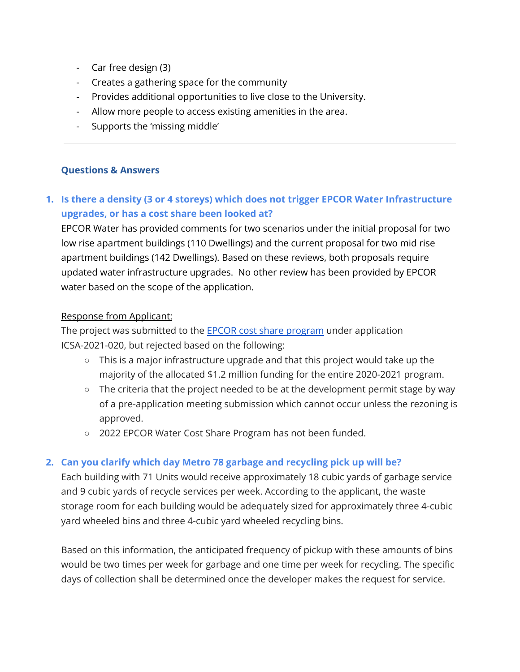- Car free design (3)
- Creates a gathering space for the community
- Provides additional opportunities to live close to the University.
- Allow more people to access existing amenities in the area.
- Supports the 'missing middle'

#### **Questions & Answers**

# **1. Is there a density (3 or 4 storeys) which does not trigger EPCOR Water Infrastructure upgrades, or has a cost share been looked at?**

EPCOR Water has provided comments for two scenarios under the initial proposal for two low rise apartment buildings (110 Dwellings) and the current proposal for two mid rise apartment buildings (142 Dwellings). Based on these reviews, both proposals require updated water infrastructure upgrades. No other review has been provided by EPCOR water based on the scope of the application.

#### Response from Applicant:

The project was submitted to the **EPCOR** cost share [program](https://www.epcor.com/products-services/water/water-service-new-developments/Pages/infill-cost-share-progam.aspx) under application ICSA-2021-020, but rejected based on the following:

- This is a major infrastructure upgrade and that this project would take up the majority of the allocated \$1.2 million funding for the entire 2020-2021 program.
- The criteria that the project needed to be at the development permit stage by way of a pre-application meeting submission which cannot occur unless the rezoning is approved.
- 2022 EPCOR Water Cost Share Program has not been funded.

### **2. Can you clarify which day Metro 78 garbage and recycling pick up will be?**

Each building with 71 Units would receive approximately 18 cubic yards of garbage service and 9 cubic yards of recycle services per week. According to the applicant, the waste storage room for each building would be adequately sized for approximately three 4-cubic yard wheeled bins and three 4-cubic yard wheeled recycling bins.

Based on this information, the anticipated frequency of pickup with these amounts of bins would be two times per week for garbage and one time per week for recycling. The specific days of collection shall be determined once the developer makes the request for service.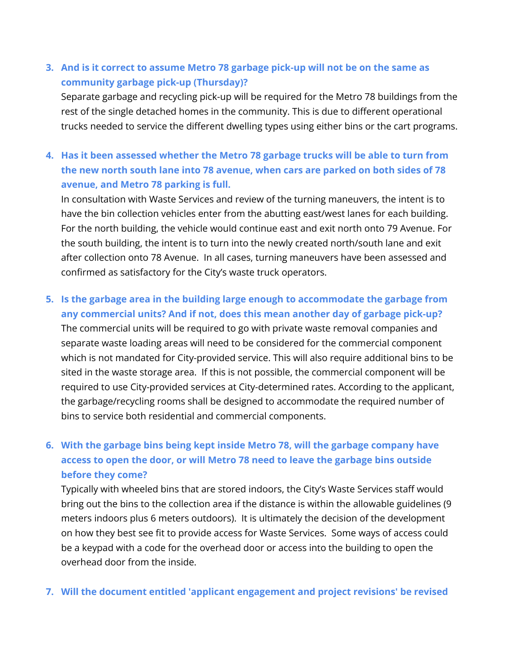# **3. And is it correct to assume Metro 78 garbage pick-up will not be on the same as community garbage pick-up (Thursday)?**

Separate garbage and recycling pick-up will be required for the Metro 78 buildings from the rest of the single detached homes in the community. This is due to different operational trucks needed to service the different dwelling types using either bins or the cart programs.

# **4. Has it been assessed whether the Metro 78 garbage trucks will be able to turn from the new north south lane into 78 avenue, when cars are parked on both sides of 78 avenue, and Metro 78 parking is full.**

In consultation with Waste Services and review of the turning maneuvers, the intent is to have the bin collection vehicles enter from the abutting east/west lanes for each building. For the north building, the vehicle would continue east and exit north onto 79 Avenue. For the south building, the intent is to turn into the newly created north/south lane and exit after collection onto 78 Avenue. In all cases, turning maneuvers have been assessed and confirmed as satisfactory for the City's waste truck operators.

# **5. Is the garbage area in the building large enough to accommodate the garbage from any commercial units? And if not, does this mean another day of garbage pick-up?**

The commercial units will be required to go with private waste removal companies and separate waste loading areas will need to be considered for the commercial component which is not mandated for City-provided service. This will also require additional bins to be sited in the waste storage area. If this is not possible, the commercial component will be required to use City-provided services at City-determined rates. According to the applicant, the garbage/recycling rooms shall be designed to accommodate the required number of bins to service both residential and commercial components.

# **6. With the garbage bins being kept inside Metro 78, will the garbage company have access to open the door, or will Metro 78 need to leave the garbage bins outside before they come?**

Typically with wheeled bins that are stored indoors, the City's Waste Services staff would bring out the bins to the collection area if the distance is within the allowable guidelines (9 meters indoors plus 6 meters outdoors). It is ultimately the decision of the development on how they best see fit to provide access for Waste Services. Some ways of access could be a keypad with a code for the overhead door or access into the building to open the overhead door from the inside.

#### **7. Will the document entitled 'applicant engagement and project revisions' be revised**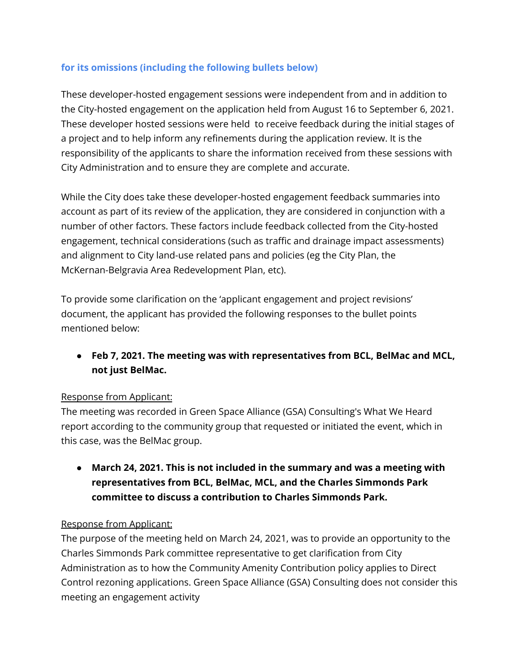## **for its omissions (including the following bullets below)**

These developer-hosted engagement sessions were independent from and in addition to the City-hosted engagement on the application held from August 16 to September 6, 2021. These developer hosted sessions were held to receive feedback during the initial stages of a project and to help inform any refinements during the application review. It is the responsibility of the applicants to share the information received from these sessions with City Administration and to ensure they are complete and accurate.

While the City does take these developer-hosted engagement feedback summaries into account as part of its review of the application, they are considered in conjunction with a number of other factors. These factors include feedback collected from the City-hosted engagement, technical considerations (such as traffic and drainage impact assessments) and alignment to City land-use related pans and policies (eg the City Plan, the McKernan-Belgravia Area Redevelopment Plan, etc).

To provide some clarification on the 'applicant engagement and project revisions' document, the applicant has provided the following responses to the bullet points mentioned below:

**● Feb 7, 2021. The meeting was with representatives from BCL, BelMac and MCL, not just BelMac.**

#### Response from Applicant:

The meeting was recorded in Green Space Alliance (GSA) Consulting's What We Heard report according to the community group that requested or initiated the event, which in this case, was the BelMac group.

**● March 24, 2021. This is not included in the summary and was a meeting with representatives from BCL, BelMac, MCL, and the Charles Simmonds Park committee to discuss a contribution to Charles Simmonds Park.**

#### Response from Applicant:

The purpose of the meeting held on March 24, 2021, was to provide an opportunity to the Charles Simmonds Park committee representative to get clarification from City Administration as to how the Community Amenity Contribution policy applies to Direct Control rezoning applications. Green Space Alliance (GSA) Consulting does not consider this meeting an engagement activity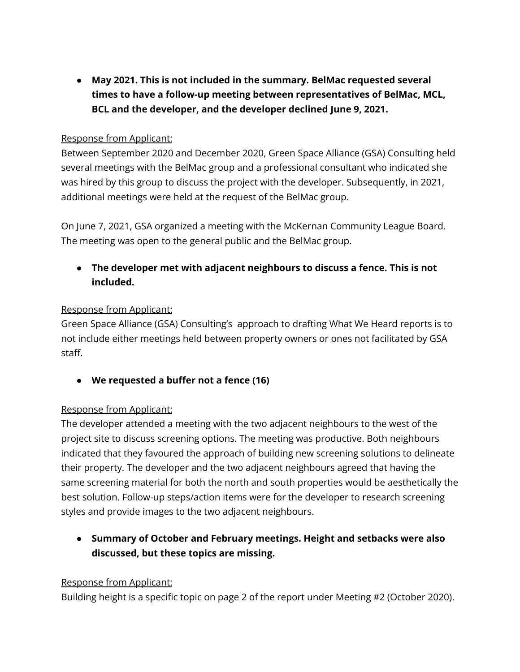**● May 2021. This is not included in the summary. BelMac requested several times to have a follow-up meeting between representatives of BelMac, MCL, BCL and the developer, and the developer declined June 9, 2021.**

#### Response from Applicant:

Between September 2020 and December 2020, Green Space Alliance (GSA) Consulting held several meetings with the BelMac group and a professional consultant who indicated she was hired by this group to discuss the project with the developer. Subsequently, in 2021, additional meetings were held at the request of the BelMac group.

On June 7, 2021, GSA organized a meeting with the McKernan Community League Board. The meeting was open to the general public and the BelMac group.

# **● The developer met with adjacent neighbours to discuss a fence. This is not included.**

#### Response from Applicant:

Green Space Alliance (GSA) Consulting's approach to drafting What We Heard reports is to not include either meetings held between property owners or ones not facilitated by GSA staff.

**● We requested a buffer not a fence (16)**

#### Response from Applicant:

The developer attended a meeting with the two adjacent neighbours to the west of the project site to discuss screening options. The meeting was productive. Both neighbours indicated that they favoured the approach of building new screening solutions to delineate their property. The developer and the two adjacent neighbours agreed that having the same screening material for both the north and south properties would be aesthetically the best solution. Follow-up steps/action items were for the developer to research screening styles and provide images to the two adjacent neighbours.

**● Summary of October and February meetings. Height and setbacks were also discussed, but these topics are missing.**

#### Response from Applicant:

Building height is a specific topic on page 2 of the report under Meeting #2 (October 2020).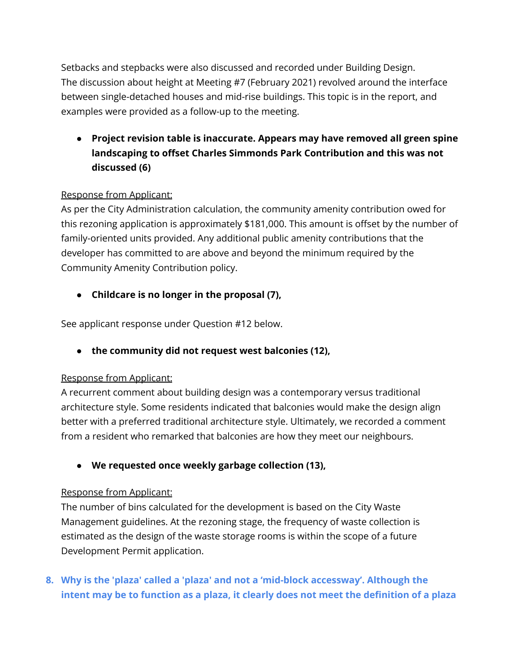Setbacks and stepbacks were also discussed and recorded under Building Design. The discussion about height at Meeting #7 (February 2021) revolved around the interface between single-detached houses and mid-rise buildings. This topic is in the report, and examples were provided as a follow-up to the meeting.

**● Project revision table is inaccurate. Appears may have removed all green spine landscaping to offset Charles Simmonds Park Contribution and this was not discussed (6)**

# Response from Applicant:

As per the City Administration calculation, the community amenity contribution owed for this rezoning application is approximately \$181,000. This amount is offset by the number of family-oriented units provided. Any additional public amenity contributions that the developer has committed to are above and beyond the minimum required by the Community Amenity Contribution policy.

**● Childcare is no longer in the proposal (7),**

See applicant response under Question #12 below.

**● the community did not request west balconies (12),**

### Response from Applicant:

A recurrent comment about building design was a contemporary versus traditional architecture style. Some residents indicated that balconies would make the design align better with a preferred traditional architecture style. Ultimately, we recorded a comment from a resident who remarked that balconies are how they meet our neighbours.

**● We requested once weekly garbage collection (13),**

### Response from Applicant:

The number of bins calculated for the development is based on the City Waste Management guidelines. At the rezoning stage, the frequency of waste collection is estimated as the design of the waste storage rooms is within the scope of a future Development Permit application.

**8. Why is the 'plaza' called a 'plaza' and not a 'mid-block accessway'. Although the intent may be to function as a plaza, it clearly does not meet the definition of a plaza**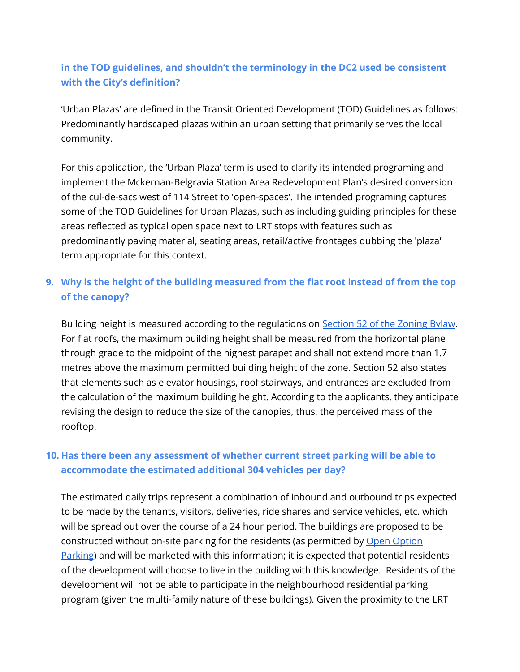**in the TOD guidelines, and shouldn't the terminology in the DC2 used be consistent with the City's definition?**

'Urban Plazas' are defined in the Transit Oriented Development (TOD) Guidelines as follows: Predominantly hardscaped plazas within an urban setting that primarily serves the local community.

For this application, the 'Urban Plaza' term is used to clarify its intended programing and implement the Mckernan-Belgravia Station Area Redevelopment Plan's desired conversion of the cul-de-sacs west of 114 Street to 'open-spaces'. The intended programing captures some of the TOD Guidelines for Urban Plazas, such as including guiding principles for these areas reflected as typical open space next to LRT stops with features such as predominantly paving material, seating areas, retail/active frontages dubbing the 'plaza' term appropriate for this context.

# **9. Why is the height of the building measured from the flat root instead of from the top of the canopy?**

Building height is measured according to the regulations on [Section](https://webdocs.edmonton.ca/InfraPlan/zoningbylaw/ZoningBylaw/Part1/Development/52__Height_and_Grade.htm) 52 of the Zoning Bylaw. For flat roofs, the maximum building height shall be measured from the horizontal plane through grade to the midpoint of the highest parapet and shall not extend more than 1.7 metres above the maximum permitted building height of the zone. Section 52 also states that elements such as elevator housings, roof stairways, and entrances are excluded from the calculation of the maximum building height. According to the applicants, they anticipate revising the design to reduce the size of the canopies, thus, the perceived mass of the rooftop.

# **10. Has there been any assessment of whether current street parking will be able to accommodate the estimated additional 304 vehicles per day?**

The estimated daily trips represent a combination of inbound and outbound trips expected to be made by the tenants, visitors, deliveries, ride shares and service vehicles, etc. which will be spread out over the course of a 24 hour period. The buildings are proposed to be constructed without on-site parking for the residents (as permitted by Open [Option](https://www.edmonton.ca/city_government/urban_planning_and_design/comprehensive-parking-review) [Parking](https://www.edmonton.ca/city_government/urban_planning_and_design/comprehensive-parking-review)) and will be marketed with this information; it is expected that potential residents of the development will choose to live in the building with this knowledge. Residents of the development will not be able to participate in the neighbourhood residential parking program (given the multi-family nature of these buildings). Given the proximity to the LRT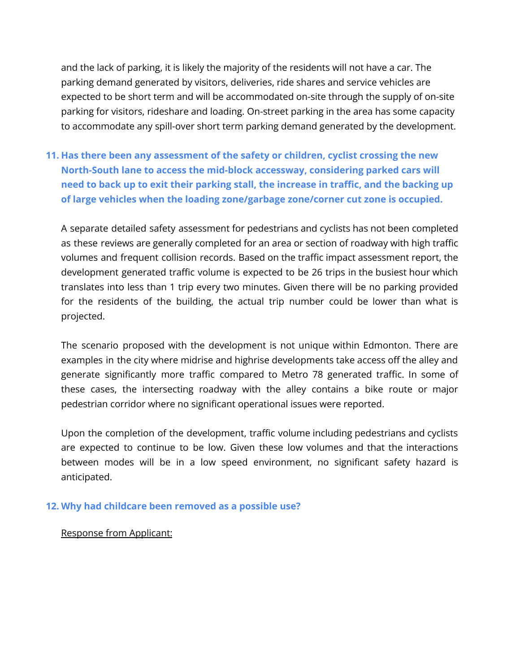and the lack of parking, it is likely the majority of the residents will not have a car. The parking demand generated by visitors, deliveries, ride shares and service vehicles are expected to be short term and will be accommodated on-site through the supply of on-site parking for visitors, rideshare and loading. On-street parking in the area has some capacity to accommodate any spill-over short term parking demand generated by the development.

**11. Has there been any assessment of the safety or children, cyclist crossing the new North-South lane to access the mid-block accessway, considering parked cars will need to back up to exit their parking stall, the increase in traffic, and the backing up of large vehicles when the loading zone/garbage zone/corner cut zone is occupied.**

A separate detailed safety assessment for pedestrians and cyclists has not been completed as these reviews are generally completed for an area or section of roadway with high traffic volumes and frequent collision records. Based on the traffic impact assessment report, the development generated traffic volume is expected to be 26 trips in the busiest hour which translates into less than 1 trip every two minutes. Given there will be no parking provided for the residents of the building, the actual trip number could be lower than what is projected.

The scenario proposed with the development is not unique within Edmonton. There are examples in the city where midrise and highrise developments take access off the alley and generate significantly more traffic compared to Metro 78 generated traffic. In some of these cases, the intersecting roadway with the alley contains a bike route or major pedestrian corridor where no significant operational issues were reported.

Upon the completion of the development, traffic volume including pedestrians and cyclists are expected to continue to be low. Given these low volumes and that the interactions between modes will be in a low speed environment, no significant safety hazard is anticipated.

#### **12. Why had childcare been removed as a possible use?**

#### Response from Applicant: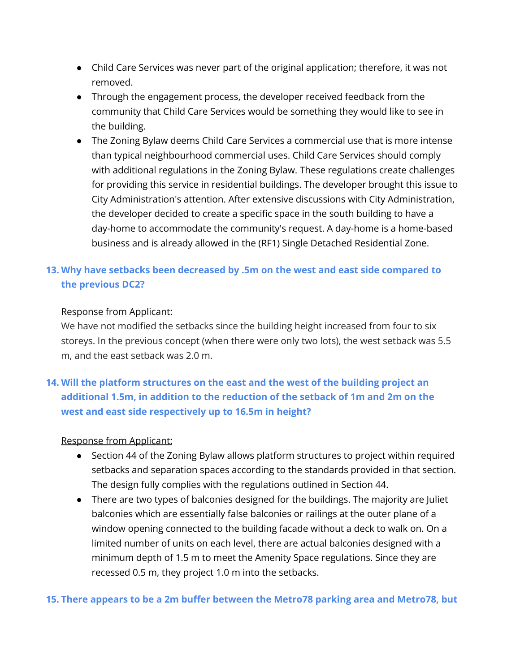- Child Care Services was never part of the original application; therefore, it was not removed.
- Through the engagement process, the developer received feedback from the community that Child Care Services would be something they would like to see in the building.
- The Zoning Bylaw deems Child Care Services a commercial use that is more intense than typical neighbourhood commercial uses. Child Care Services should comply with additional regulations in the Zoning Bylaw. These regulations create challenges for providing this service in residential buildings. The developer brought this issue to City Administration's attention. After extensive discussions with City Administration, the developer decided to create a specific space in the south building to have a day-home to accommodate the community's request. A day-home is a home-based business and is already allowed in the (RF1) Single Detached Residential Zone.

# **13. Why have setbacks been decreased by .5m on the west and east side compared to the previous DC2?**

#### Response from Applicant:

We have not modified the setbacks since the building height increased from four to six storeys. In the previous concept (when there were only two lots), the west setback was 5.5 m, and the east setback was 2.0 m.

# **14. Will the platform structures on the east and the west of the building project an additional 1.5m, in addition to the reduction of the setback of 1m and 2m on the west and east side respectively up to 16.5m in height?**

#### Response from Applicant:

- Section 44 of the Zoning Bylaw allows platform structures to project within required setbacks and separation spaces according to the standards provided in that section. The design fully complies with the regulations outlined in Section 44.
- There are two types of balconies designed for the buildings. The majority are Juliet balconies which are essentially false balconies or railings at the outer plane of a window opening connected to the building facade without a deck to walk on. On a limited number of units on each level, there are actual balconies designed with a minimum depth of 1.5 m to meet the Amenity Space regulations. Since they are recessed 0.5 m, they project 1.0 m into the setbacks.

#### **15. There appears to be a 2m buffer between the Metro78 parking area and Metro78, but**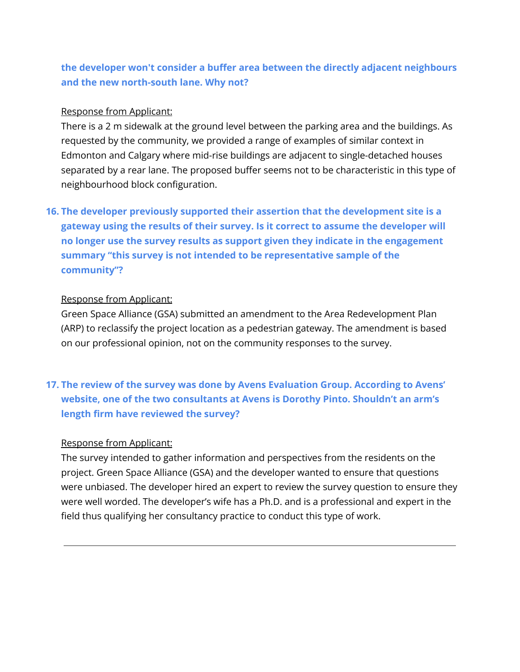# **the developer won't consider a buffer area between the directly adjacent neighbours and the new north-south lane. Why not?**

#### Response from Applicant:

There is a 2 m sidewalk at the ground level between the parking area and the buildings. As requested by the community, we provided a range of examples of similar context in Edmonton and Calgary where mid-rise buildings are adjacent to single-detached houses separated by a rear lane. The proposed buffer seems not to be characteristic in this type of neighbourhood block configuration.

# **16. The developer previously supported their assertion that the development site is a gateway using the results of their survey. Is it correct to assume the developer will no longer use the survey results as support given they indicate in the engagement summary "this survey is not intended to be representative sample of the community"?**

#### Response from Applicant:

Green Space Alliance (GSA) submitted an amendment to the Area Redevelopment Plan (ARP) to reclassify the project location as a pedestrian gateway. The amendment is based on our professional opinion, not on the community responses to the survey.

# **17. The review of the survey was done by Avens Evaluation Group. According to Avens' website, one of the two consultants at Avens is Dorothy Pinto. Shouldn't an arm's length firm have reviewed the survey?**

#### Response from Applicant:

The survey intended to gather information and perspectives from the residents on the project. Green Space Alliance (GSA) and the developer wanted to ensure that questions were unbiased. The developer hired an expert to review the survey question to ensure they were well worded. The developer's wife has a Ph.D. and is a professional and expert in the field thus qualifying her consultancy practice to conduct this type of work.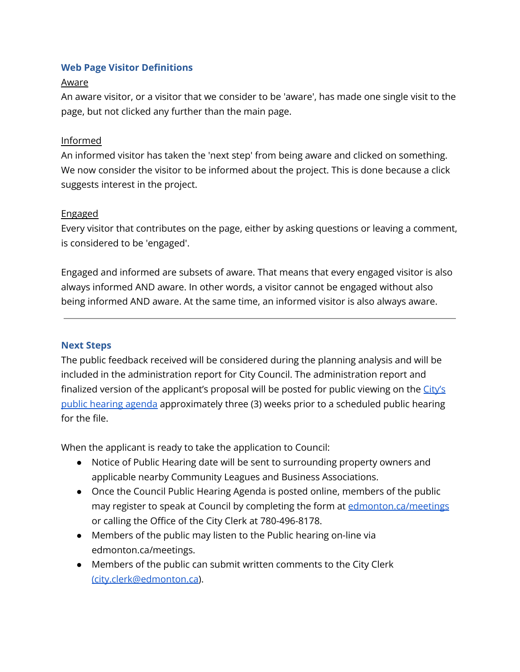#### **Web Page Visitor Definitions**

#### Aware

An aware visitor, or a visitor that we consider to be 'aware', has made one single visit to the page, but not clicked any further than the main page.

#### Informed

An informed visitor has taken the 'next step' from being aware and clicked on something. We now consider the visitor to be informed about the project. This is done because a click suggests interest in the project.

#### Engaged

Every visitor that contributes on the page, either by asking questions or leaving a comment, is considered to be 'engaged'.

Engaged and informed are subsets of aware. That means that every engaged visitor is also always informed AND aware. In other words, a visitor cannot be engaged without also being informed AND aware. At the same time, an informed visitor is also always aware.

#### **Next Steps**

The public feedback received will be considered during the planning analysis and will be included in the administration report for City Council. The administration report and finalized version of the applicant's proposal will be posted for public viewing on the [City's](https://www.edmonton.ca/city_government/council-committee-meetings) public [hearing](https://www.edmonton.ca/city_government/council-committee-meetings) agenda approximately three (3) weeks prior to a scheduled public hearing for the file.

When the applicant is ready to take the application to Council:

- Notice of Public Hearing date will be sent to surrounding property owners and applicable nearby Community Leagues and Business Associations.
- Once the Council Public Hearing Agenda is posted online, members of the public may register to speak at Council by completing the form at [edmonton.ca/meetings](http://edmonton.ca/meetings) or calling the Office of the City Clerk at 780-496-8178.
- Members of the public may listen to the Public hearing on-line via edmonton.ca/meetings.
- Members of the public can submit written comments to the City Clerk [\(city.clerk@edmonton.ca\)](mailto:city.clerk@edmonton.ca).